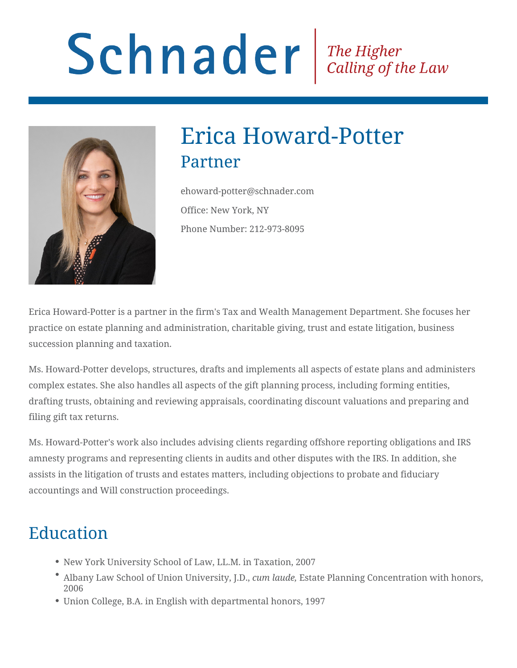# Schnader Fine Higher Calling of the Law



## Erica Howard-Potter Partner

ehoward-potter@schnader.com Office: New York, NY Phone Number: 212-973-8095

Erica Howard-Potter is a partner in the firm's Tax and Wealth Management Department. She focuses her practice on estate planning and administration, charitable giving, trust and estate litigation, business succession planning and taxation.

Ms. Howard-Potter develops, structures, drafts and implements all aspects of estate plans and administers complex estates. She also handles all aspects of the gift planning process, including forming entities, drafting trusts, obtaining and reviewing appraisals, coordinating discount valuations and preparing and filing gift tax returns.

Ms. Howard-Potter's work also includes advising clients regarding offshore reporting obligations and IRS amnesty programs and representing clients in audits and other disputes with the IRS. In addition, she assists in the litigation of trusts and estates matters, including objections to probate and fiduciary accountings and Will construction proceedings.

### Education

- New York University School of Law, LL.M. in Taxation, 2007
- Albany Law School of Union University, J.D., *cum laude,* Estate Planning Concentration with honors, 2006
- Union College, B.A. in English with departmental honors, 1997